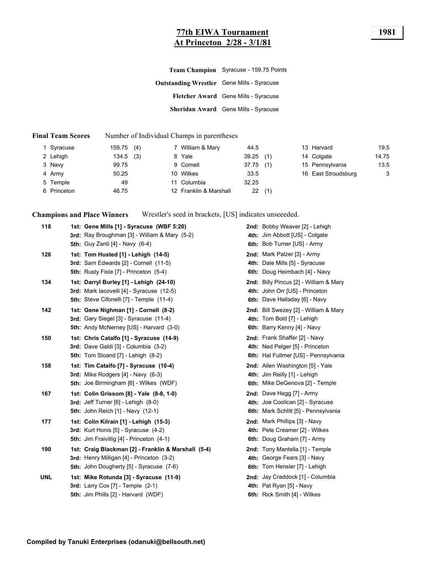### **77th EIWA Tournament 1981 At Princeton 2/28 - 3/1/81**

|                                                   | Team Champion Syracuse - 159.75 Points |
|---------------------------------------------------|----------------------------------------|
| <b>Outstanding Wrestler</b> Gene Mills - Syracuse |                                        |
|                                                   | Fletcher Award Gene Mills - Syracuse   |
|                                                   | Sheridan Award Gene Mills - Syracuse   |
|                                                   |                                        |

#### **Final Team Scores** Number of Individual Champs in parentheses

| 1 Syracuse  | 159.75(4)    | 7 William & Mary       | 44.5         | 13 Harvard          | 19.5  |
|-------------|--------------|------------------------|--------------|---------------------|-------|
| 2 Lehigh    | (3)<br>134.5 | 8 Yale                 | 39.25<br>(1) | 14 Colgate          | 14.75 |
| 3 Navy      | 99.75        | 9 Cornell              | 37.75<br>(1) | 15 Pennsylvania     | 13.5  |
| 4 Army      | 50.25        | 10 Wilkes              | 33.5         | 16 East Stroudsburg | 3     |
| 5 Temple    | 49           | 11 Columbia            | 32.25        |                     |       |
| 6 Princeton | 46.75        | 12 Franklin & Marshall | 22<br>(1)    |                     |       |

**Champions and Place Winners** Wrestler's seed in brackets, [US] indicates unseeeded.

| 118        | 1st: Gene Mills [1] - Syracuse (WBF 5:20)<br>3rd: Ray Broughman [3] - William & Mary (5-2)<br><b>5th:</b> Guy Zanti [4] - Navy (6-4)                | 2nd: Bobby Weaver [2] - Lehigh<br>4th: Jim Abbott [US] - Colgate<br>6th: Bob Turner [US] - Army           |
|------------|-----------------------------------------------------------------------------------------------------------------------------------------------------|-----------------------------------------------------------------------------------------------------------|
| 126        | 1st: Tom Husted [1] - Lehigh (14-5)<br>3rd: Sam Edwards [2] - Cornell (11-5)<br><b>5th:</b> Rusty Fiste [7] - Princeton (5-4)                       | 2nd: Mark Palzer [3] - Army<br>4th: Dale Mills [5] - Syracuse<br>6th: Doug Heimbach [4] - Navy            |
| 134        | 1st: Darryl Burley [1] - Lehigh (24-10)<br>3rd: Mark lacovelli [4] - Syracuse (12-5)<br>5th: Steve Cifonelli [7] - Temple (11-4)                    | 2nd: Billy Pincus [2] - William & Mary<br>4th: John Orr [US] - Princeton<br>6th: Dave Halladay [6] - Navy |
| 142        | 1st: Gene Nighman [1] - Cornell (8-2)<br>3rd: Gary Siegel [3] - Syracuse (11-4)<br><b>5th: Andy McNerney [US] - Harvard (3-0)</b>                   | 2nd: Bill Swezey [2] - William & Mary<br>4th: Tom Bold [7] - Lehigh<br>6th: Barry Kenny [4] - Navy        |
| 150        | 1st: Chris Catalfo [1] - Syracuse (14-9)<br>3rd: Dave Galdi [3] - Columbia (3-2)<br>5th: Tom Sloand [7] - Lehigh (8-2)                              | 2nd: Frank Shaffer [2] - Navy<br>4th: Ned Pelger [5] - Princeton<br>6th: Hal Fullmer [US] - Pennsylvania  |
| 158        | 1st: Tim Catalfo [7] - Syracuse (10-4)<br>3rd: Mike Rodgers [4] - Navy (6-3)<br><b>5th:</b> Joe Birmingham [6] - Wilkes (WDF)                       | 2nd: Allen Washington [5] - Yale<br>4th: Jim Reilly [1] - Lehigh<br>6th: Mike DeGenova [2] - Temple       |
| 167        | 1st: Colin Grissom [8] - Yale (8-8, 1-0)<br>3rd: Jeff Turner $[6]$ - Lehigh $(8-0)$<br><b>5th: John Reich [1] - Navy (12-1)</b>                     | 2nd: Dave Hagg [7] - Army<br>4th: Joe Coolican [2] - Syracuse<br>6th: Mark Schlitt [5] - Pennsylvania     |
| 177        | 1st: Colin Kilrain [1] - Lehigh (15-3)<br>3rd: Kurt Honis [5] - Syracuse (4-2)<br><b>5th:</b> Jim Fraivillig [4] - Princeton (4-1)                  | 2nd: Mark Phillips [3] - Navy<br>4th: Pete Creamer [2] - Wilkes<br>6th: Doug Graham [7] - Army            |
| 190        | 1st: Craig Blackman [2] - Franklin & Marshall (5-4)<br>3rd: Henry Milligan [4] - Princeton (3-2)<br><b>5th:</b> John Dougherty [5] - Syracuse (7-6) | 2nd: Tony Mantella [1] - Temple<br>4th: George Fears [3] - Navy<br>6th: Tom Hensler [7] - Lehigh          |
| <b>UNL</b> | 1st: Mike Rotunda [3] - Syracuse (11-9)<br>3rd: Larry Cox $[7]$ - Temple $(2-1)$<br>5th: Jim Phills [2] - Harvard (WDF)                             | 2nd: Jay Craddock [1] - Columbia<br>4th: Pat Ryan [5] - Navy<br>6th: Rick Smith [4] - Wilkes              |
|            |                                                                                                                                                     |                                                                                                           |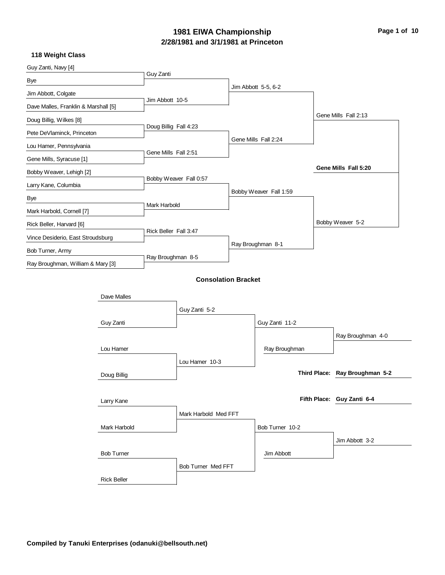### **2/28/1981 and 3/1/1981 at Princeton 1981 EIWA Championship Page 1 of 10**

| Guy Zanti, Navy [4]                  |                       |                            |                        |                                |
|--------------------------------------|-----------------------|----------------------------|------------------------|--------------------------------|
| Bye                                  | Guy Zanti             |                            |                        |                                |
| Jim Abbott, Colgate                  |                       |                            | Jim Abbott 5-5, 6-2    |                                |
| Dave Malles, Franklin & Marshall [5] | Jim Abbott 10-5       |                            |                        |                                |
| Doug Billig, Wilkes [8]              |                       |                            |                        | Gene Mills Fall 2:13           |
| Pete DeVlaminck, Princeton           | Doug Billig Fall 4:23 |                            |                        |                                |
| Lou Hamer, Pennsylvania              |                       |                            | Gene Mills Fall 2:24   |                                |
| Gene Mills, Syracuse [1]             | Gene Mills Fall 2:51  |                            |                        |                                |
| Bobby Weaver, Lehigh [2]             |                       |                            |                        | Gene Mills Fall 5:20           |
| Larry Kane, Columbia                 |                       | Bobby Weaver Fall 0:57     |                        |                                |
| Bye                                  |                       |                            | Bobby Weaver Fall 1:59 |                                |
| Mark Harbold, Cornell [7]            | Mark Harbold          |                            |                        |                                |
| Rick Beller, Harvard [6]             |                       |                            |                        | Bobby Weaver 5-2               |
| Vince Desiderio, East Stroudsburg    | Rick Beller Fall 3:47 |                            |                        |                                |
| Bob Turner, Army                     |                       |                            | Ray Broughman 8-1      |                                |
| Ray Broughman, William & Mary [3]    | Ray Broughman 8-5     |                            |                        |                                |
|                                      |                       | <b>Consolation Bracket</b> |                        |                                |
|                                      |                       |                            |                        |                                |
| Dave Malles                          |                       |                            |                        |                                |
|                                      |                       | Guy Zanti 5-2              |                        |                                |
| Guy Zanti                            |                       |                            | Guy Zanti 11-2         |                                |
|                                      |                       |                            |                        | Ray Broughman 4-0              |
| Lou Hamer                            |                       |                            | Ray Broughman          |                                |
|                                      |                       | Lou Hamer 10-3             |                        | Third Place: Ray Broughman 5-2 |
| Doug Billig                          |                       |                            |                        |                                |
| Larry Kane                           |                       |                            |                        | Fifth Place: Guy Zanti 6-4     |
|                                      |                       | Mark Harbold Med FFT       |                        |                                |
| Mark Harbold                         |                       |                            | Bob Turner 10-2        |                                |
|                                      |                       |                            |                        | Jim Abbott 3-2                 |
| <b>Bob Turner</b>                    |                       |                            | Jim Abbott             |                                |
|                                      |                       |                            |                        |                                |
|                                      |                       | Bob Turner Med FFT         |                        |                                |
| <b>Rick Beller</b>                   |                       |                            |                        |                                |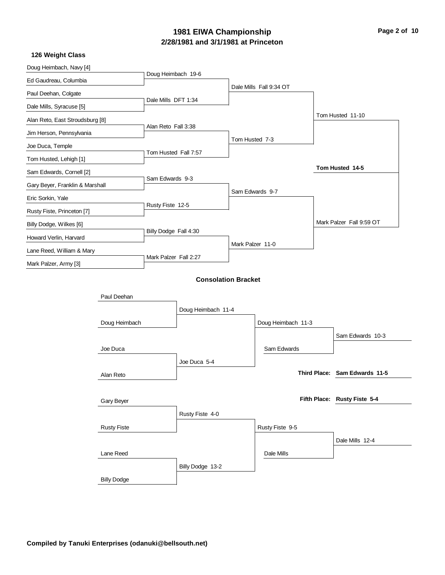# **2/28/1981 and 3/1/1981 at Princeton 1981 EIWA Championship Page 2 of 10**

| Doug Heimbach, Navy [4]         |                    |                       |                            |                  |                         |                               |
|---------------------------------|--------------------|-----------------------|----------------------------|------------------|-------------------------|-------------------------------|
| Ed Gaudreau, Columbia           |                    | Doug Heimbach 19-6    |                            |                  |                         |                               |
| Paul Deehan, Colgate            |                    |                       |                            |                  | Dale Mills Fall 9:34 OT |                               |
| Dale Mills, Syracuse [5]        |                    | Dale Mills DFT 1:34   |                            |                  |                         |                               |
| Alan Reto, East Stroudsburg [8] |                    |                       |                            |                  |                         | Tom Husted 11-10              |
| Jim Herson, Pennsylvania        |                    | Alan Reto Fall 3:38   |                            |                  |                         |                               |
| Joe Duca, Temple                |                    |                       |                            | Tom Husted 7-3   |                         |                               |
| Tom Husted, Lehigh [1]          |                    | Tom Husted Fall 7:57  |                            |                  |                         |                               |
| Sam Edwards, Cornell [2]        |                    |                       |                            |                  |                         | Tom Husted 14-5               |
| Gary Beyer, Franklin & Marshall |                    | Sam Edwards 9-3       |                            |                  |                         |                               |
| Eric Sorkin, Yale               |                    |                       |                            |                  | Sam Edwards 9-7         |                               |
| Rusty Fiste, Princeton [7]      |                    | Rusty Fiste 12-5      |                            |                  |                         |                               |
| Billy Dodge, Wilkes [6]         |                    |                       |                            |                  |                         | Mark Palzer Fall 9:59 OT      |
| Howard Verlin, Harvard          |                    | Billy Dodge Fall 4:30 |                            |                  |                         |                               |
| Lane Reed, William & Mary       |                    |                       |                            | Mark Palzer 11-0 |                         |                               |
| Mark Palzer, Army [3]           |                    | Mark Palzer Fall 2:27 |                            |                  |                         |                               |
|                                 |                    |                       | <b>Consolation Bracket</b> |                  |                         |                               |
|                                 |                    |                       |                            |                  |                         |                               |
|                                 | Paul Deehan        |                       |                            |                  |                         |                               |
|                                 |                    |                       | Doug Heimbach 11-4         |                  |                         |                               |
|                                 | Doug Heimbach      |                       |                            |                  | Doug Heimbach 11-3      |                               |
|                                 |                    |                       |                            |                  |                         | Sam Edwards 10-3              |
|                                 | Joe Duca           |                       |                            |                  | Sam Edwards             |                               |
|                                 |                    |                       | Joe Duca 5-4               |                  |                         |                               |
|                                 | Alan Reto          |                       |                            |                  |                         | Third Place: Sam Edwards 11-5 |
|                                 |                    |                       |                            |                  |                         |                               |
|                                 | Gary Beyer         |                       |                            |                  |                         | Fifth Place: Rusty Fiste 5-4  |
|                                 |                    |                       | Rusty Fiste 4-0            |                  |                         |                               |
|                                 | <b>Rusty Fiste</b> |                       |                            |                  | Rusty Fiste 9-5         |                               |
|                                 |                    |                       |                            |                  |                         | Dale Mills 12-4               |
|                                 | Lane Reed          |                       |                            |                  | Dale Mills              |                               |
|                                 |                    |                       | Billy Dodge 13-2           |                  |                         |                               |
|                                 | <b>Billy Dodge</b> |                       |                            |                  |                         |                               |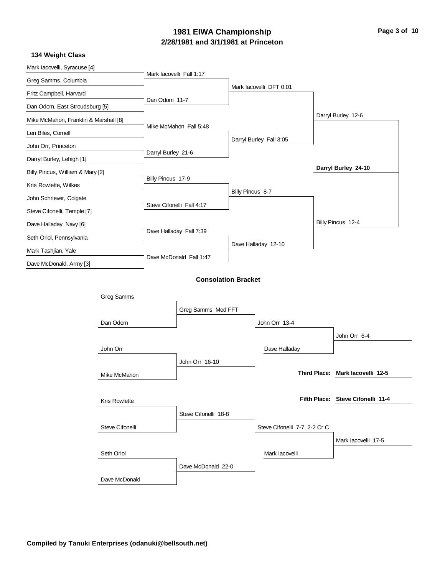# **2/28/1981 and 3/1/1981 at Princeton 1981 EIWA Championship Page 3 of 10**

|                |                                                                                                                                                                                                   |                                                                  |                                                                                                                                                               | Darryl Burley 12-6                |
|----------------|---------------------------------------------------------------------------------------------------------------------------------------------------------------------------------------------------|------------------------------------------------------------------|---------------------------------------------------------------------------------------------------------------------------------------------------------------|-----------------------------------|
|                |                                                                                                                                                                                                   |                                                                  |                                                                                                                                                               |                                   |
|                |                                                                                                                                                                                                   |                                                                  |                                                                                                                                                               |                                   |
|                |                                                                                                                                                                                                   |                                                                  |                                                                                                                                                               |                                   |
|                |                                                                                                                                                                                                   |                                                                  |                                                                                                                                                               | Darryl Burley 24-10               |
|                |                                                                                                                                                                                                   |                                                                  |                                                                                                                                                               |                                   |
|                |                                                                                                                                                                                                   |                                                                  |                                                                                                                                                               |                                   |
|                |                                                                                                                                                                                                   |                                                                  |                                                                                                                                                               |                                   |
|                |                                                                                                                                                                                                   |                                                                  |                                                                                                                                                               | Billy Pincus 12-4                 |
|                |                                                                                                                                                                                                   |                                                                  |                                                                                                                                                               |                                   |
|                |                                                                                                                                                                                                   |                                                                  |                                                                                                                                                               |                                   |
|                |                                                                                                                                                                                                   |                                                                  |                                                                                                                                                               |                                   |
|                |                                                                                                                                                                                                   |                                                                  |                                                                                                                                                               |                                   |
|                |                                                                                                                                                                                                   |                                                                  |                                                                                                                                                               |                                   |
|                |                                                                                                                                                                                                   |                                                                  |                                                                                                                                                               |                                   |
|                |                                                                                                                                                                                                   |                                                                  |                                                                                                                                                               |                                   |
|                |                                                                                                                                                                                                   |                                                                  |                                                                                                                                                               | John Orr 6-4                      |
|                |                                                                                                                                                                                                   |                                                                  |                                                                                                                                                               |                                   |
| John Orr 16-10 |                                                                                                                                                                                                   |                                                                  |                                                                                                                                                               |                                   |
|                |                                                                                                                                                                                                   |                                                                  |                                                                                                                                                               | Third Place: Mark lacovelli 12-5  |
|                |                                                                                                                                                                                                   |                                                                  |                                                                                                                                                               |                                   |
|                |                                                                                                                                                                                                   |                                                                  |                                                                                                                                                               | Fifth Place: Steve Cifonelli 11-4 |
|                |                                                                                                                                                                                                   |                                                                  |                                                                                                                                                               |                                   |
|                |                                                                                                                                                                                                   |                                                                  |                                                                                                                                                               |                                   |
|                |                                                                                                                                                                                                   |                                                                  |                                                                                                                                                               | Mark lacovelli 17-5               |
|                |                                                                                                                                                                                                   | Mark lacovelli                                                   |                                                                                                                                                               |                                   |
|                |                                                                                                                                                                                                   |                                                                  |                                                                                                                                                               |                                   |
|                |                                                                                                                                                                                                   |                                                                  |                                                                                                                                                               |                                   |
|                | Mark lacovelli Fall 1:17<br>Dan Odom 11-7<br>Mike McMahon Fall 5:48<br>Darryl Burley 21-6<br>Billy Pincus 17-9<br>Steve Cifonelli Fall 4:17<br>Dave Halladay Fall 7:39<br>Dave McDonald Fall 1:47 | Greg Samms Med FFT<br>Steve Cifonelli 18-8<br>Dave McDonald 22-0 | Mark lacovelli DFT 0:01<br>Darryl Burley Fall 3:05<br>Billy Pincus 8-7<br>Dave Halladay 12-10<br><b>Consolation Bracket</b><br>John Orr 13-4<br>Dave Halladay | Steve Cifonelli 7-7, 2-2 Cr C     |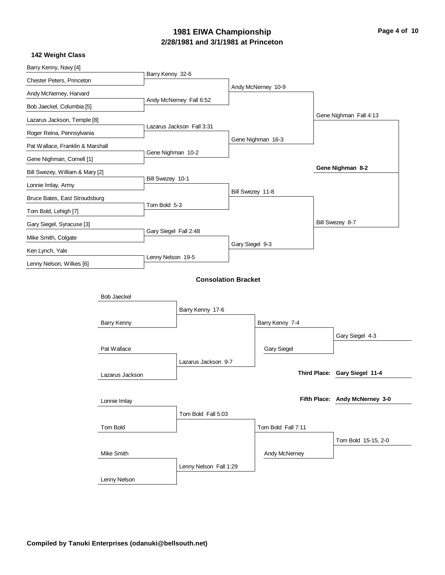# **2/28/1981 and 3/1/1981 at Princeton 1981 EIWA Championship Page 4 of 10**

| Barry Kenny, Navy [4]            |                    | Barry Kenny 32-6      |                            |                  |                    |                                |
|----------------------------------|--------------------|-----------------------|----------------------------|------------------|--------------------|--------------------------------|
| Chester Peters, Princeton        |                    |                       |                            |                  | Andy McNerney 10-9 |                                |
| Andy McNerney, Harvard           |                    |                       |                            |                  |                    |                                |
| Bob Jaeckel, Columbia [5]        |                    |                       | Andy McNerney Fall 6:52    |                  |                    |                                |
| Lazarus Jackson, Temple [8]      |                    |                       |                            |                  |                    | Gene Nighman Fall 4:13         |
| Roger Reina, Pennsylvania        |                    |                       | Lazarus Jackson Fall 3:31  |                  |                    |                                |
| Pat Wallace, Franklin & Marshall |                    |                       |                            |                  | Gene Nighman 16-3  |                                |
| Gene Nighman, Cornell [1]        |                    | Gene Nighman 10-2     |                            |                  |                    |                                |
| Bill Swezey, William & Mary [2]  |                    |                       |                            |                  |                    | Gene Nighman 8-2               |
| Lonnie Imlay, Army               |                    | Bill Swezey 10-1      |                            |                  |                    |                                |
| Bruce Bates, East Stroudsburg    |                    |                       |                            | Bill Swezey 11-8 |                    |                                |
| Tom Bold, Lehigh [7]             |                    | Tom Bold 5-3          |                            |                  |                    |                                |
| Gary Siegel, Syracuse [3]        |                    |                       |                            |                  |                    | Bill Swezey 8-7                |
| Mike Smith, Colgate              |                    | Gary Siegel Fall 2:48 |                            |                  |                    |                                |
|                                  |                    |                       |                            | Gary Siegel 9-3  |                    |                                |
| Ken Lynch, Yale                  |                    | Lenny Nelson 19-5     |                            |                  |                    |                                |
| Lenny Nelson, Wilkes [6]         |                    |                       |                            |                  |                    |                                |
|                                  |                    |                       | <b>Consolation Bracket</b> |                  |                    |                                |
|                                  | <b>Bob Jaeckel</b> |                       |                            |                  |                    |                                |
|                                  |                    |                       | Barry Kenny 17-6           |                  |                    |                                |
|                                  | Barry Kenny        |                       |                            |                  | Barry Kenny 7-4    |                                |
|                                  |                    |                       |                            |                  |                    | Gary Siegel 4-3                |
|                                  | Pat Wallace        |                       |                            |                  | <b>Gary Siegel</b> |                                |
|                                  |                    |                       | Lazarus Jackson 9-7        |                  |                    |                                |
|                                  | Lazarus Jackson    |                       |                            |                  |                    | Third Place: Gary Siegel 11-4  |
|                                  |                    |                       |                            |                  |                    |                                |
|                                  | Lonnie Imlay       |                       |                            |                  |                    | Fifth Place: Andy McNerney 3-0 |
|                                  |                    |                       | Tom Bold Fall 5:03         |                  |                    |                                |
|                                  | Tom Bold           |                       |                            |                  | Tom Bold Fall 7:11 |                                |
|                                  |                    |                       |                            |                  |                    |                                |
|                                  |                    |                       |                            |                  |                    | Tom Bold 15-15, 2-0            |
|                                  | Mike Smith         |                       |                            |                  | Andy McNerney      |                                |
|                                  |                    |                       | Lenny Nelson Fall 1:29     |                  |                    |                                |
|                                  | Lenny Nelson       |                       |                            |                  |                    |                                |
|                                  |                    |                       |                            |                  |                    |                                |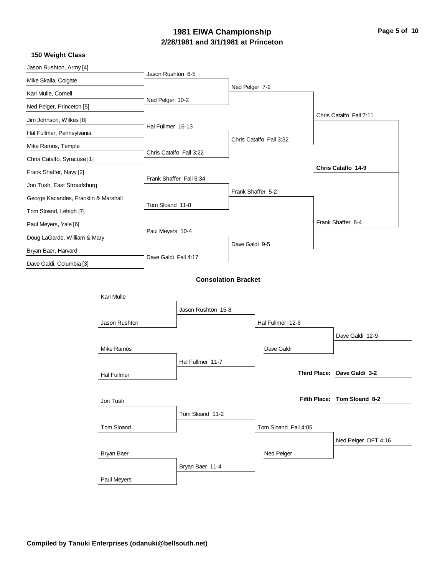# **2/28/1981 and 3/1/1981 at Princeton 1981 EIWA Championship Page 5 of 10**

| Jason Rushton, Army [4]              |                    |                         |                            |                   |                         |                             |
|--------------------------------------|--------------------|-------------------------|----------------------------|-------------------|-------------------------|-----------------------------|
| Mike Skalla, Colgate                 |                    | Jason Rushton 6-5       |                            |                   |                         |                             |
| Karl Mulle, Cornell                  |                    |                         |                            | Ned Pelger 7-2    |                         |                             |
| Ned Pelger, Princeton [5]            |                    | Ned Pelger 10-2         |                            |                   |                         |                             |
| Jim Johnson, Wilkes [8]              |                    |                         |                            |                   |                         | Chris Catalfo Fall 7:11     |
| Hal Fullmer, Pennsylvania            |                    | Hal Fullmer 16-13       |                            |                   |                         |                             |
| Mike Ramos, Temple                   |                    |                         |                            |                   | Chris Catalfo Fall 3:32 |                             |
| Chris Catalfo, Syracuse [1]          |                    | Chris Catalfo Fall 3:22 |                            |                   |                         |                             |
| Frank Shaffer, Navy [2]              |                    |                         |                            |                   |                         | Chris Catalfo 14-9          |
| Jon Tush, East Stroudsburg           |                    | Frank Shaffer Fall 5:34 |                            |                   |                         |                             |
| George Kacandes, Franklin & Marshall |                    |                         |                            | Frank Shaffer 5-2 |                         |                             |
| Tom Sloand, Lehigh [7]               |                    | Tom Sloand 11-8         |                            |                   |                         |                             |
| Paul Meyers, Yale [6]                |                    |                         |                            |                   |                         | Frank Shaffer 8-4           |
| Doug LaGarde, William & Mary         |                    | Paul Meyers 10-4        |                            |                   |                         |                             |
| Bryan Baer, Harvard                  |                    |                         |                            | Dave Galdi 9-5    |                         |                             |
| Dave Galdi, Columbia [3]             |                    | Dave Galdi Fall 4:17    |                            |                   |                         |                             |
|                                      |                    |                         | <b>Consolation Bracket</b> |                   |                         |                             |
|                                      | Karl Mulle         |                         |                            |                   |                         |                             |
|                                      |                    |                         | Jason Rushton 15-8         |                   |                         |                             |
|                                      | Jason Rushton      |                         |                            |                   | Hal Fullmer 12-6        |                             |
|                                      |                    |                         |                            |                   |                         | Dave Galdi 12-9             |
|                                      | Mike Ramos         |                         |                            |                   | Dave Galdi              |                             |
|                                      |                    |                         | Hal Fullmer 11-7           |                   |                         |                             |
|                                      | <b>Hal Fullmer</b> |                         |                            |                   |                         | Third Place: Dave Galdi 3-2 |
|                                      |                    |                         |                            |                   |                         |                             |
|                                      | Jon Tush           |                         |                            |                   |                         | Fifth Place: Tom Sloand 8-2 |
|                                      |                    |                         | Tom Sloand 11-2            |                   |                         |                             |
|                                      | Tom Sloand         |                         |                            |                   | Tom Sloand Fall 4:05    |                             |
|                                      |                    |                         |                            |                   |                         | Ned Pelger DFT 4:16         |
|                                      | Bryan Baer         |                         |                            |                   | Ned Pelger              |                             |
|                                      |                    |                         | Bryan Baer 11-4            |                   |                         |                             |
|                                      | Paul Meyers        |                         |                            |                   |                         |                             |
|                                      |                    |                         |                            |                   |                         |                             |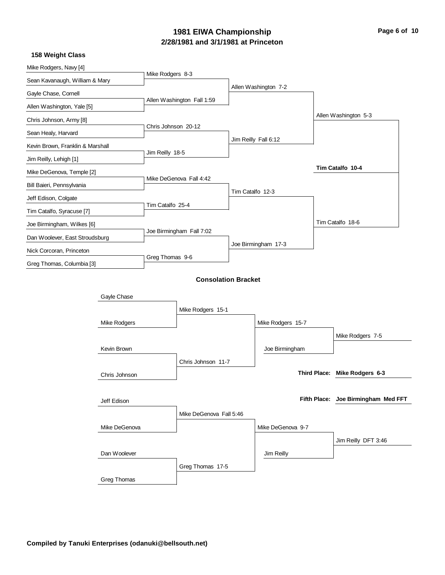# **2/28/1981 and 3/1/1981 at Princeton 1981 EIWA Championship Page 6 of 10**

| Mike Rodgers, Navy [4]           |               |                     |                            |                  |                      |                     |                                     |
|----------------------------------|---------------|---------------------|----------------------------|------------------|----------------------|---------------------|-------------------------------------|
| Sean Kavanaugh, William & Mary   |               | Mike Rodgers 8-3    |                            |                  |                      |                     |                                     |
| Gayle Chase, Cornell             |               |                     |                            |                  | Allen Washington 7-2 |                     |                                     |
| Allen Washington, Yale [5]       |               |                     | Allen Washington Fall 1:59 |                  |                      |                     |                                     |
| Chris Johnson, Army [8]          |               |                     |                            |                  |                      |                     | Allen Washington 5-3                |
| Sean Healy, Harvard              |               | Chris Johnson 20-12 |                            |                  |                      |                     |                                     |
| Kevin Brown, Franklin & Marshall |               |                     |                            |                  | Jim Reilly Fall 6:12 |                     |                                     |
| Jim Reilly, Lehigh [1]           |               | Jim Reilly 18-5     |                            |                  |                      |                     |                                     |
| Mike DeGenova, Temple [2]        |               |                     |                            |                  |                      |                     | Tim Catalfo 10-4                    |
| Bill Baieri, Pennsylvania        |               |                     | Mike DeGenova Fall 4:42    |                  |                      |                     |                                     |
| Jeff Edison, Colgate             |               |                     |                            | Tim Catalfo 12-3 |                      |                     |                                     |
| Tim Catalfo, Syracuse [7]        |               | Tim Catalfo 25-4    |                            |                  |                      |                     |                                     |
|                                  |               |                     |                            |                  |                      |                     | Tim Catalfo 18-6                    |
| Joe Birmingham, Wilkes [6]       |               |                     | Joe Birmingham Fall 7:02   |                  |                      |                     |                                     |
| Dan Woolever, East Stroudsburg   |               |                     |                            |                  | Joe Birmingham 17-3  |                     |                                     |
| Nick Corcoran, Princeton         |               | Greg Thomas 9-6     |                            |                  |                      |                     |                                     |
| Greg Thomas, Columbia [3]        |               |                     |                            |                  |                      |                     |                                     |
|                                  |               |                     | <b>Consolation Bracket</b> |                  |                      |                     |                                     |
|                                  | Gayle Chase   |                     |                            |                  |                      |                     |                                     |
|                                  |               |                     | Mike Rodgers 15-1          |                  |                      |                     |                                     |
|                                  | Mike Rodgers  |                     |                            |                  | Mike Rodgers 15-7    |                     |                                     |
|                                  |               |                     |                            |                  |                      |                     | Mike Rodgers 7-5                    |
|                                  | Kevin Brown   |                     |                            |                  | Joe Birmingham       |                     |                                     |
|                                  |               |                     | Chris Johnson 11-7         |                  |                      |                     |                                     |
|                                  | Chris Johnson |                     |                            |                  |                      | <b>Third Place:</b> | Mike Rodgers 6-3                    |
|                                  |               |                     |                            |                  |                      |                     |                                     |
|                                  | Jeff Edison   |                     |                            |                  |                      |                     | Fifth Place: Joe Birmingham Med FFT |
|                                  |               |                     | Mike DeGenova Fall 5:46    |                  |                      |                     |                                     |
|                                  | Mike DeGenova |                     |                            |                  | Mike DeGenova 9-7    |                     |                                     |
|                                  |               |                     |                            |                  |                      |                     |                                     |
|                                  |               |                     |                            |                  |                      |                     | Jim Reilly DFT 3:46                 |
|                                  | Dan Woolever  |                     |                            |                  | Jim Reilly           |                     |                                     |
|                                  |               |                     | Greg Thomas 17-5           |                  |                      |                     |                                     |
|                                  | Greg Thomas   |                     |                            |                  |                      |                     |                                     |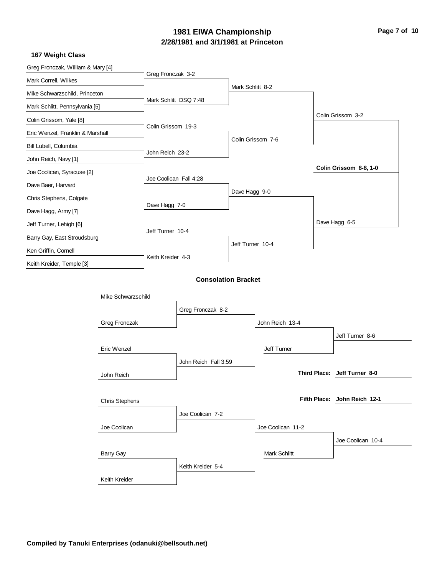### **2/28/1981 and 3/1/1981 at Princeton 1981 EIWA Championship Page 7 of 10**

| Greg Fronczak, William & Mary [4] |                       |                        |                            |                  |                   |                              |
|-----------------------------------|-----------------------|------------------------|----------------------------|------------------|-------------------|------------------------------|
| Mark Correll, Wilkes              |                       | Greg Fronczak 3-2      |                            |                  |                   |                              |
| Mike Schwarzschild, Princeton     |                       |                        |                            | Mark Schlitt 8-2 |                   |                              |
| Mark Schlitt, Pennsylvania [5]    |                       | Mark Schlitt DSQ 7:48  |                            |                  |                   |                              |
| Colin Grissom, Yale [8]           |                       |                        |                            |                  |                   | Colin Grissom 3-2            |
| Eric Wenzel, Franklin & Marshall  |                       | Colin Grissom 19-3     |                            |                  |                   |                              |
| Bill Lubell, Columbia             |                       |                        |                            |                  | Colin Grissom 7-6 |                              |
| John Reich, Navy [1]              |                       | John Reich 23-2        |                            |                  |                   |                              |
| Joe Coolican, Syracuse [2]        |                       |                        |                            |                  |                   | Colin Grissom 8-8, 1-0       |
| Dave Baer, Harvard                |                       | Joe Coolican Fall 4:28 |                            |                  |                   |                              |
| Chris Stephens, Colgate           |                       |                        |                            | Dave Hagg 9-0    |                   |                              |
| Dave Hagg, Army [7]               |                       | Dave Hagg 7-0          |                            |                  |                   |                              |
| Jeff Turner, Lehigh [6]           |                       |                        |                            |                  |                   | Dave Hagg 6-5                |
| Barry Gay, East Stroudsburg       |                       | Jeff Turner 10-4       |                            |                  |                   |                              |
| Ken Griffin, Cornell              |                       |                        |                            | Jeff Turner 10-4 |                   |                              |
| Keith Kreider, Temple [3]         |                       | Keith Kreider 4-3      |                            |                  |                   |                              |
|                                   |                       |                        | <b>Consolation Bracket</b> |                  |                   |                              |
|                                   |                       |                        |                            |                  |                   |                              |
|                                   | Mike Schwarzschild    |                        |                            |                  |                   |                              |
|                                   |                       |                        | Greg Fronczak 8-2          |                  |                   |                              |
|                                   | Greg Fronczak         |                        |                            |                  | John Reich 13-4   |                              |
|                                   |                       |                        |                            |                  |                   | Jeff Turner 8-6              |
|                                   | Eric Wenzel           |                        |                            |                  | Jeff Turner       |                              |
|                                   |                       |                        | John Reich Fall 3:59       |                  |                   |                              |
|                                   | John Reich            |                        |                            |                  |                   | Third Place: Jeff Turner 8-0 |
|                                   |                       |                        |                            |                  |                   |                              |
|                                   | <b>Chris Stephens</b> |                        |                            |                  |                   | Fifth Place: John Reich 12-1 |
|                                   |                       |                        | Joe Coolican 7-2           |                  |                   |                              |
|                                   | Joe Coolican          |                        |                            |                  | Joe Coolican 11-2 |                              |
|                                   |                       |                        |                            |                  |                   | Joe Coolican 10-4            |
|                                   | <b>Barry Gay</b>      |                        |                            |                  | Mark Schlitt      |                              |
|                                   |                       |                        | Keith Kreider 5-4          |                  |                   |                              |
|                                   | Keith Kreider         |                        |                            |                  |                   |                              |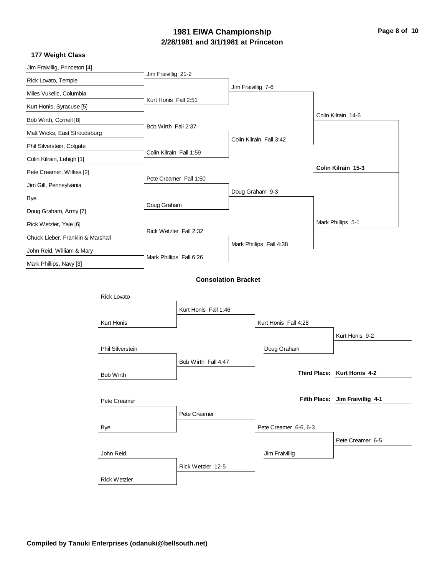# **2/28/1981 and 3/1/1981 at Princeton 1981 EIWA Championship Page 8 of 10**

|                   |                                                                                                                                                                                             |                                             |                                                                                                                                                   | Colin Kilrain 14-6              |
|-------------------|---------------------------------------------------------------------------------------------------------------------------------------------------------------------------------------------|---------------------------------------------|---------------------------------------------------------------------------------------------------------------------------------------------------|---------------------------------|
|                   |                                                                                                                                                                                             |                                             |                                                                                                                                                   |                                 |
|                   |                                                                                                                                                                                             |                                             |                                                                                                                                                   |                                 |
|                   |                                                                                                                                                                                             |                                             |                                                                                                                                                   |                                 |
|                   |                                                                                                                                                                                             |                                             |                                                                                                                                                   | Colin Kilrain 15-3              |
|                   |                                                                                                                                                                                             |                                             |                                                                                                                                                   |                                 |
|                   |                                                                                                                                                                                             |                                             |                                                                                                                                                   |                                 |
|                   |                                                                                                                                                                                             |                                             |                                                                                                                                                   |                                 |
|                   |                                                                                                                                                                                             |                                             |                                                                                                                                                   | Mark Phillips 5-1               |
|                   |                                                                                                                                                                                             |                                             |                                                                                                                                                   |                                 |
|                   |                                                                                                                                                                                             |                                             |                                                                                                                                                   |                                 |
|                   |                                                                                                                                                                                             |                                             |                                                                                                                                                   |                                 |
|                   |                                                                                                                                                                                             |                                             |                                                                                                                                                   |                                 |
|                   |                                                                                                                                                                                             |                                             |                                                                                                                                                   |                                 |
|                   |                                                                                                                                                                                             |                                             |                                                                                                                                                   |                                 |
|                   |                                                                                                                                                                                             |                                             |                                                                                                                                                   |                                 |
|                   |                                                                                                                                                                                             |                                             |                                                                                                                                                   |                                 |
|                   |                                                                                                                                                                                             |                                             |                                                                                                                                                   | Kurt Honis 9-2                  |
|                   |                                                                                                                                                                                             | Doug Graham                                 |                                                                                                                                                   |                                 |
|                   |                                                                                                                                                                                             |                                             |                                                                                                                                                   |                                 |
|                   |                                                                                                                                                                                             |                                             |                                                                                                                                                   | Third Place: Kurt Honis 4-2     |
|                   |                                                                                                                                                                                             |                                             |                                                                                                                                                   |                                 |
|                   |                                                                                                                                                                                             |                                             |                                                                                                                                                   | Fifth Place: Jim Fraivillig 4-1 |
| Pete Creamer      |                                                                                                                                                                                             |                                             |                                                                                                                                                   |                                 |
|                   |                                                                                                                                                                                             |                                             |                                                                                                                                                   |                                 |
|                   |                                                                                                                                                                                             |                                             |                                                                                                                                                   | Pete Creamer 6-5                |
|                   |                                                                                                                                                                                             | Jim Fraivillig                              |                                                                                                                                                   |                                 |
| Rick Wetzler 12-5 |                                                                                                                                                                                             |                                             |                                                                                                                                                   |                                 |
|                   |                                                                                                                                                                                             |                                             |                                                                                                                                                   |                                 |
|                   | Jim Fraivillig 21-2<br>Kurt Honis Fall 2:51<br>Bob Wirth Fall 2:37<br>Colin Kilrain Fall 1:59<br>Pete Creamer Fall 1:50<br>Doug Graham<br>Rick Wetzler Fall 2:32<br>Mark Phillips Fall 6:26 | Kurt Honis Fall 1:46<br>Bob Wirth Fall 4:47 | Jim Fraivillig 7-6<br>Colin Kilrain Fall 3:42<br>Doug Graham 9-3<br>Mark Phillips Fall 4:38<br><b>Consolation Bracket</b><br>Kurt Honis Fall 4:28 | Pete Creamer 6-6, 6-3           |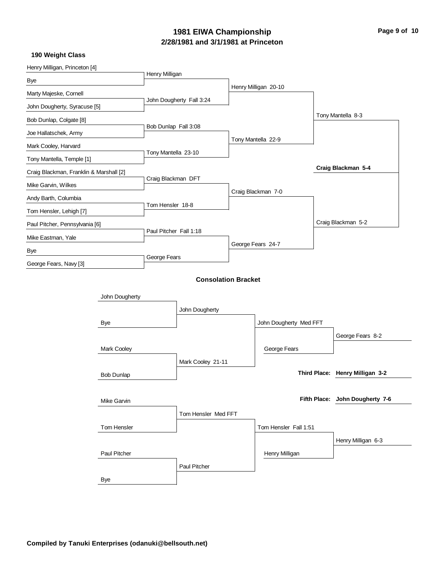# **2/28/1981 and 3/1/1981 at Princeton 1981 EIWA Championship Page 9 of 10**

| Henry Milligan, Princeton [4]           |                    |                        |                            |                        |                                 |
|-----------------------------------------|--------------------|------------------------|----------------------------|------------------------|---------------------------------|
| Bye                                     |                    | Henry Milligan         |                            |                        |                                 |
| Marty Majeske, Cornell                  |                    |                        |                            | Henry Milligan 20-10   |                                 |
| John Dougherty, Syracuse [5]            |                    |                        | John Dougherty Fall 3:24   |                        |                                 |
| Bob Dunlap, Colgate [8]                 |                    |                        |                            |                        | Tony Mantella 8-3               |
| Joe Hallatschek, Army                   |                    | Bob Dunlap Fall 3:08   |                            |                        |                                 |
| Mark Cooley, Harvard                    |                    |                        |                            | Tony Mantella 22-9     |                                 |
| Tony Mantella, Temple [1]               |                    | Tony Mantella 23-10    |                            |                        |                                 |
| Craig Blackman, Franklin & Marshall [2] |                    |                        |                            |                        | Craig Blackman 5-4              |
| Mike Garvin, Wilkes                     |                    | Craig Blackman DFT     |                            |                        |                                 |
| Andy Barth, Columbia                    |                    |                        |                            | Craig Blackman 7-0     |                                 |
| Tom Hensler, Lehigh [7]                 |                    | Tom Hensler 18-8       |                            |                        |                                 |
| Paul Pitcher, Pennsylvania [6]          |                    |                        |                            |                        | Craig Blackman 5-2              |
|                                         |                    | Paul Pitcher Fall 1:18 |                            |                        |                                 |
| Mike Eastman, Yale                      |                    |                        |                            | George Fears 24-7      |                                 |
| Bye                                     |                    | George Fears           |                            |                        |                                 |
| George Fears, Navy [3]                  |                    |                        |                            |                        |                                 |
|                                         |                    |                        | <b>Consolation Bracket</b> |                        |                                 |
|                                         | John Dougherty     |                        |                            |                        |                                 |
|                                         |                    |                        | John Dougherty             |                        |                                 |
|                                         | Bye                |                        |                            | John Dougherty Med FFT |                                 |
|                                         |                    |                        |                            |                        | George Fears 8-2                |
|                                         | <b>Mark Cooley</b> |                        |                            | George Fears           |                                 |
|                                         |                    |                        | Mark Cooley 21-11          |                        |                                 |
|                                         | <b>Bob Dunlap</b>  |                        |                            |                        | Third Place: Henry Milligan 3-2 |
|                                         |                    |                        |                            |                        |                                 |
|                                         | Mike Garvin        |                        |                            |                        | Fifth Place: John Dougherty 7-6 |
|                                         |                    |                        | Tom Hensler Med FFT        |                        |                                 |
|                                         | Tom Hensler        |                        |                            | Tom Hensler Fall 1:51  |                                 |
|                                         |                    |                        |                            |                        | Henry Milligan 6-3              |
|                                         | Paul Pitcher       |                        |                            | Henry Milligan         |                                 |
|                                         |                    |                        | Paul Pitcher               |                        |                                 |
|                                         | Bye                |                        |                            |                        |                                 |
|                                         |                    |                        |                            |                        |                                 |